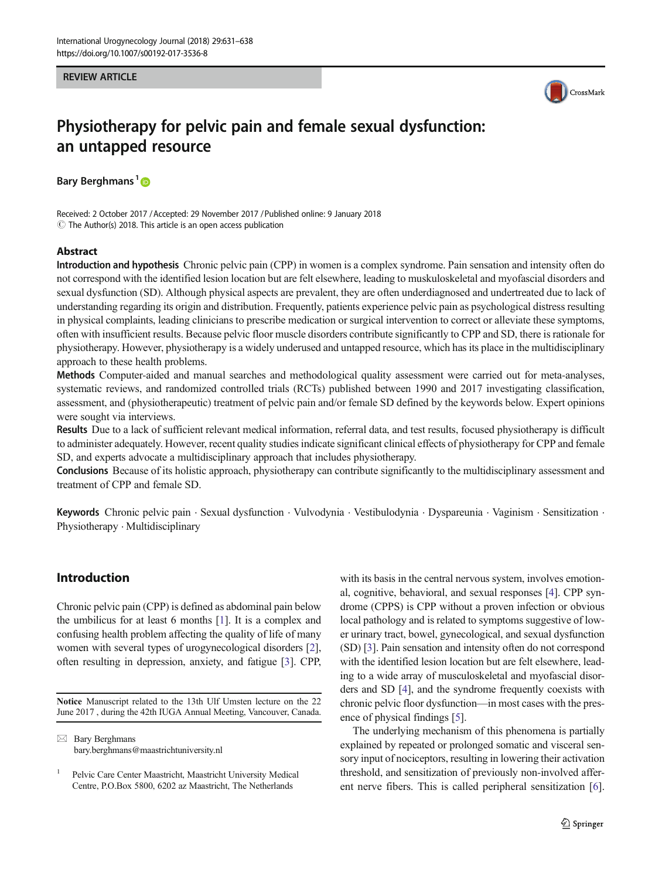#### **REVIEW ARTICLE** REVIEW ARTICLE



# Physiotherapy for pelvic pain and female sexual dysfunction: an untapped resource

Bary Berghmans<sup>1</sup><sup>®</sup>

Received: 2 October 2017 /Accepted: 29 November 2017 /Published online: 9 January 2018  $\odot$  The Author(s) 2018. This article is an open access publication

#### Abstract

Introduction and hypothesis Chronic pelvic pain (CPP) in women is a complex syndrome. Pain sensation and intensity often do not correspond with the identified lesion location but are felt elsewhere, leading to muskuloskeletal and myofascial disorders and sexual dysfunction (SD). Although physical aspects are prevalent, they are often underdiagnosed and undertreated due to lack of understanding regarding its origin and distribution. Frequently, patients experience pelvic pain as psychological distress resulting in physical complaints, leading clinicians to prescribe medication or surgical intervention to correct or alleviate these symptoms, often with insufficient results. Because pelvic floor muscle disorders contribute significantly to CPP and SD, there is rationale for physiotherapy. However, physiotherapy is a widely underused and untapped resource, which has its place in the multidisciplinary approach to these health problems.

Methods Computer-aided and manual searches and methodological quality assessment were carried out for meta-analyses, systematic reviews, and randomized controlled trials (RCTs) published between 1990 and 2017 investigating classification, assessment, and (physiotherapeutic) treatment of pelvic pain and/or female SD defined by the keywords below. Expert opinions were sought via interviews.

Results Due to a lack of sufficient relevant medical information, referral data, and test results, focused physiotherapy is difficult to administer adequately. However, recent quality studies indicate significant clinical effects of physiotherapy for CPP and female SD, and experts advocate a multidisciplinary approach that includes physiotherapy.

Conclusions Because of its holistic approach, physiotherapy can contribute significantly to the multidisciplinary assessment and treatment of CPP and female SD.

Keywords Chronic pelvic pain . Sexual dysfunction . Vulvodynia . Vestibulodynia . Dyspareunia . Vaginism . Sensitization . Physiotherapy . Multidisciplinary

# Introduction

Chronic pelvic pain (CPP) is defined as abdominal pain below the umbilicus for at least 6 months [\[1](#page-6-0)]. It is a complex and confusing health problem affecting the quality of life of many women with several types of urogynecological disorders [[2\]](#page-6-0), often resulting in depression, anxiety, and fatigue [\[3](#page-6-0)]. CPP,

Notice Manuscript related to the 13th Ulf Umsten lecture on the 22 June 2017 , during the 42th IUGA Annual Meeting, Vancouver, Canada.

 $\boxtimes$  Bary Berghmans [bary.berghmans@maastrichtuniversity.nl](mailto:bary.berghmans@maastrichtuniversity.nl) with its basis in the central nervous system, involves emotional, cognitive, behavioral, and sexual responses [\[4\]](#page-6-0). CPP syndrome (CPPS) is CPP without a proven infection or obvious local pathology and is related to symptoms suggestive of lower urinary tract, bowel, gynecological, and sexual dysfunction (SD) [\[3](#page-6-0)]. Pain sensation and intensity often do not correspond with the identified lesion location but are felt elsewhere, leading to a wide array of musculoskeletal and myofascial disorders and SD [[4\]](#page-6-0), and the syndrome frequently coexists with chronic pelvic floor dysfunction—in most cases with the presence of physical findings [[5](#page-6-0)].

The underlying mechanism of this phenomena is partially explained by repeated or prolonged somatic and visceral sensory input of nociceptors, resulting in lowering their activation threshold, and sensitization of previously non-involved afferent nerve fibers. This is called peripheral sensitization [[6\]](#page-6-0).

<sup>1</sup> Pelvic Care Center Maastricht, Maastricht University Medical Centre, P.O.Box 5800, 6202 az Maastricht, The Netherlands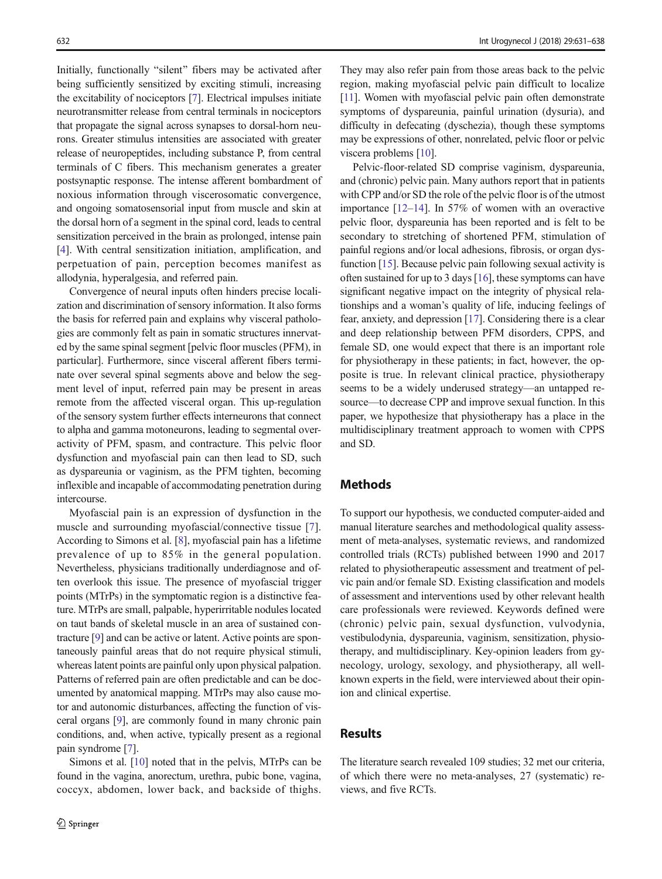Initially, functionally "silent" fibers may be activated after being sufficiently sensitized by exciting stimuli, increasing the excitability of nociceptors [[7\]](#page-6-0). Electrical impulses initiate neurotransmitter release from central terminals in nociceptors that propagate the signal across synapses to dorsal-horn neurons. Greater stimulus intensities are associated with greater release of neuropeptides, including substance P, from central terminals of C fibers. This mechanism generates a greater postsynaptic response. The intense afferent bombardment of noxious information through viscerosomatic convergence, and ongoing somatosensorial input from muscle and skin at the dorsal horn of a segment in the spinal cord, leads to central sensitization perceived in the brain as prolonged, intense pain [\[4](#page-6-0)]. With central sensitization initiation, amplification, and perpetuation of pain, perception becomes manifest as allodynia, hyperalgesia, and referred pain.

Convergence of neural inputs often hinders precise localization and discrimination of sensory information. It also forms the basis for referred pain and explains why visceral pathologies are commonly felt as pain in somatic structures innervated by the same spinal segment [pelvic floor muscles (PFM), in particular]. Furthermore, since visceral afferent fibers terminate over several spinal segments above and below the segment level of input, referred pain may be present in areas remote from the affected visceral organ. This up-regulation of the sensory system further effects interneurons that connect to alpha and gamma motoneurons, leading to segmental overactivity of PFM, spasm, and contracture. This pelvic floor dysfunction and myofascial pain can then lead to SD, such as dyspareunia or vaginism, as the PFM tighten, becoming inflexible and incapable of accommodating penetration during intercourse.

Myofascial pain is an expression of dysfunction in the muscle and surrounding myofascial/connective tissue [\[7](#page-6-0)]. According to Simons et al. [\[8](#page-6-0)], myofascial pain has a lifetime prevalence of up to 85% in the general population. Nevertheless, physicians traditionally underdiagnose and often overlook this issue. The presence of myofascial trigger points (MTrPs) in the symptomatic region is a distinctive feature. MTrPs are small, palpable, hyperirritable nodules located on taut bands of skeletal muscle in an area of sustained contracture [\[9](#page-6-0)] and can be active or latent. Active points are spontaneously painful areas that do not require physical stimuli, whereas latent points are painful only upon physical palpation. Patterns of referred pain are often predictable and can be documented by anatomical mapping. MTrPs may also cause motor and autonomic disturbances, affecting the function of visceral organs [\[9\]](#page-6-0), are commonly found in many chronic pain conditions, and, when active, typically present as a regional pain syndrome [\[7](#page-6-0)].

Simons et al. [\[10](#page-6-0)] noted that in the pelvis, MTrPs can be found in the vagina, anorectum, urethra, pubic bone, vagina, coccyx, abdomen, lower back, and backside of thighs.

They may also refer pain from those areas back to the pelvic region, making myofascial pelvic pain difficult to localize [\[11\]](#page-6-0). Women with myofascial pelvic pain often demonstrate symptoms of dyspareunia, painful urination (dysuria), and difficulty in defecating (dyschezia), though these symptoms may be expressions of other, nonrelated, pelvic floor or pelvic viscera problems [[10\]](#page-6-0).

Pelvic-floor-related SD comprise vaginism, dyspareunia, and (chronic) pelvic pain. Many authors report that in patients with CPP and/or SD the role of the pelvic floor is of the utmost importance [\[12](#page-6-0)–[14\]](#page-6-0). In 57% of women with an overactive pelvic floor, dyspareunia has been reported and is felt to be secondary to stretching of shortened PFM, stimulation of painful regions and/or local adhesions, fibrosis, or organ dysfunction [[15](#page-6-0)]. Because pelvic pain following sexual activity is often sustained for up to 3 days [[16](#page-6-0)], these symptoms can have significant negative impact on the integrity of physical relationships and a woman's quality of life, inducing feelings of fear, anxiety, and depression [\[17](#page-7-0)]. Considering there is a clear and deep relationship between PFM disorders, CPPS, and female SD, one would expect that there is an important role for physiotherapy in these patients; in fact, however, the opposite is true. In relevant clinical practice, physiotherapy seems to be a widely underused strategy—an untapped resource—to decrease CPP and improve sexual function. In this paper, we hypothesize that physiotherapy has a place in the multidisciplinary treatment approach to women with CPPS and SD.

# Methods

To support our hypothesis, we conducted computer-aided and manual literature searches and methodological quality assessment of meta-analyses, systematic reviews, and randomized controlled trials (RCTs) published between 1990 and 2017 related to physiotherapeutic assessment and treatment of pelvic pain and/or female SD. Existing classification and models of assessment and interventions used by other relevant health care professionals were reviewed. Keywords defined were (chronic) pelvic pain, sexual dysfunction, vulvodynia, vestibulodynia, dyspareunia, vaginism, sensitization, physiotherapy, and multidisciplinary. Key-opinion leaders from gynecology, urology, sexology, and physiotherapy, all wellknown experts in the field, were interviewed about their opinion and clinical expertise.

# Results

The literature search revealed 109 studies; 32 met our criteria, of which there were no meta-analyses, 27 (systematic) reviews, and five RCTs.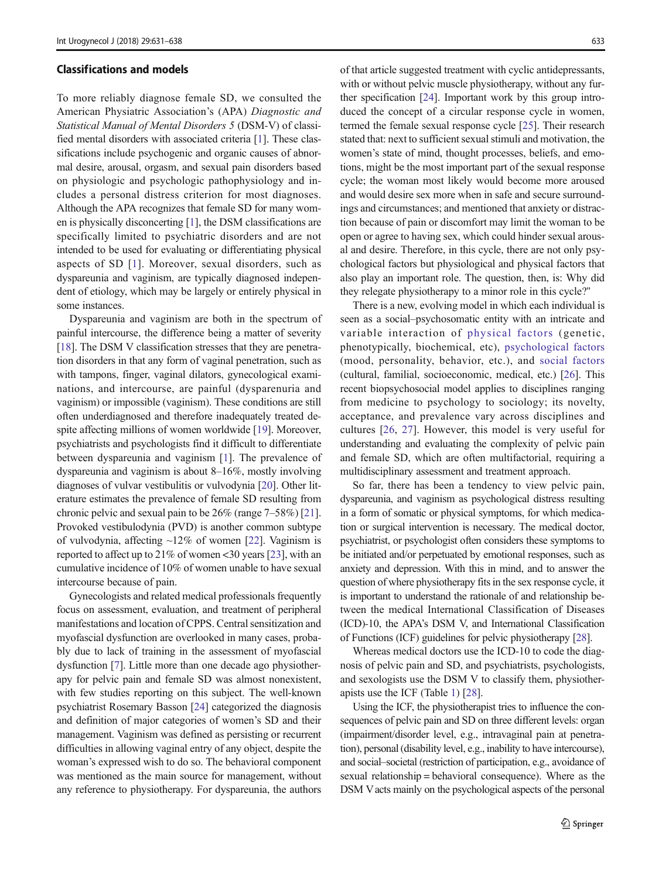#### Classifications and models

To more reliably diagnose female SD, we consulted the American Physiatric Association's (APA) Diagnostic and Statistical Manual of Mental Disorders 5 (DSM-V) of classified mental disorders with associated criteria [[1\]](#page-6-0). These classifications include psychogenic and organic causes of abnormal desire, arousal, orgasm, and sexual pain disorders based on physiologic and psychologic pathophysiology and includes a personal distress criterion for most diagnoses. Although the APA recognizes that female SD for many women is physically disconcerting [\[1](#page-6-0)], the DSM classifications are specifically limited to psychiatric disorders and are not intended to be used for evaluating or differentiating physical aspects of SD [[1\]](#page-6-0). Moreover, sexual disorders, such as dyspareunia and vaginism, are typically diagnosed independent of etiology, which may be largely or entirely physical in some instances.

Dyspareunia and vaginism are both in the spectrum of painful intercourse, the difference being a matter of severity [\[18\]](#page-7-0). The DSM V classification stresses that they are penetration disorders in that any form of vaginal penetration, such as with tampons, finger, vaginal dilators, gynecological examinations, and intercourse, are painful (dysparenuria and vaginism) or impossible (vaginism). These conditions are still often underdiagnosed and therefore inadequately treated despite affecting millions of women worldwide [\[19\]](#page-7-0). Moreover, psychiatrists and psychologists find it difficult to differentiate between dyspareunia and vaginism [[1\]](#page-6-0). The prevalence of dyspareunia and vaginism is about 8–16%, mostly involving diagnoses of vulvar vestibulitis or vulvodynia [\[20](#page-7-0)]. Other literature estimates the prevalence of female SD resulting from chronic pelvic and sexual pain to be 26% (range 7–58%) [[21\]](#page-7-0). Provoked vestibulodynia (PVD) is another common subtype of vulvodynia, affecting  $\sim$ 12% of women [[22](#page-7-0)]. Vaginism is reported to affect up to 21% of women <30 years [\[23](#page-7-0)], with an cumulative incidence of 10% of women unable to have sexual intercourse because of pain.

Gynecologists and related medical professionals frequently focus on assessment, evaluation, and treatment of peripheral manifestations and location of CPPS. Central sensitization and myofascial dysfunction are overlooked in many cases, probably due to lack of training in the assessment of myofascial dysfunction [[7\]](#page-6-0). Little more than one decade ago physiotherapy for pelvic pain and female SD was almost nonexistent, with few studies reporting on this subject. The well-known psychiatrist Rosemary Basson [[24](#page-7-0)] categorized the diagnosis and definition of major categories of women's SD and their management. Vaginism was defined as persisting or recurrent difficulties in allowing vaginal entry of any object, despite the woman's expressed wish to do so. The behavioral component was mentioned as the main source for management, without any reference to physiotherapy. For dyspareunia, the authors of that article suggested treatment with cyclic antidepressants, with or without pelvic muscle physiotherapy, without any further specification [[24\]](#page-7-0). Important work by this group introduced the concept of a circular response cycle in women, termed the female sexual response cycle [\[25](#page-7-0)]. Their research stated that: next to sufficient sexual stimuli and motivation, the women's state of mind, thought processes, beliefs, and emotions, might be the most important part of the sexual response cycle; the woman most likely would become more aroused and would desire sex more when in safe and secure surroundings and circumstances; and mentioned that anxiety or distraction because of pain or discomfort may limit the woman to be open or agree to having sex, which could hinder sexual arousal and desire. Therefore, in this cycle, there are not only psychological factors but physiological and physical factors that also play an important role. The question, then, is: Why did they relegate physiotherapy to a minor role in this cycle?"

There is a new, evolving model in which each individual is seen as a social–psychosomatic entity with an intricate and variable interaction of [physical factors](https://en.wikipedia.org/wiki/Biology) (genetic, phenotypically, biochemical, etc), [psychological factors](https://en.wikipedia.org/wiki/Psychology) (mood, personality, behavior, etc.), and [social factors](https://en.wikipedia.org/wiki/Interpersonal_relationship) (cultural, familial, socioeconomic, medical, etc.) [[26](#page-7-0)]. This recent biopsychosocial model applies to disciplines ranging from medicine to psychology to sociology; its novelty, acceptance, and prevalence vary across disciplines and cultures [[26](#page-7-0), [27\]](#page-7-0). However, this model is very useful for understanding and evaluating the complexity of pelvic pain and female SD, which are often multifactorial, requiring a multidisciplinary assessment and treatment approach.

So far, there has been a tendency to view pelvic pain, dyspareunia, and vaginism as psychological distress resulting in a form of somatic or physical symptoms, for which medication or surgical intervention is necessary. The medical doctor, psychiatrist, or psychologist often considers these symptoms to be initiated and/or perpetuated by emotional responses, such as anxiety and depression. With this in mind, and to answer the question of where physiotherapy fits in the sex response cycle, it is important to understand the rationale of and relationship between the medical International Classification of Diseases (ICD)-10, the APA's DSM V, and International Classification of Functions (ICF) guidelines for pelvic physiotherapy [\[28\]](#page-7-0).

Whereas medical doctors use the ICD-10 to code the diagnosis of pelvic pain and SD, and psychiatrists, psychologists, and sexologists use the DSM V to classify them, physiotherapists use the ICF (Table [1\)](#page-3-0) [[28](#page-7-0)].

Using the ICF, the physiotherapist tries to influence the consequences of pelvic pain and SD on three different levels: organ (impairment/disorder level, e.g., intravaginal pain at penetration), personal (disability level, e.g., inability to have intercourse), and social–societal (restriction of participation, e.g., avoidance of sexual relationship = behavioral consequence). Where as the DSM Vacts mainly on the psychological aspects of the personal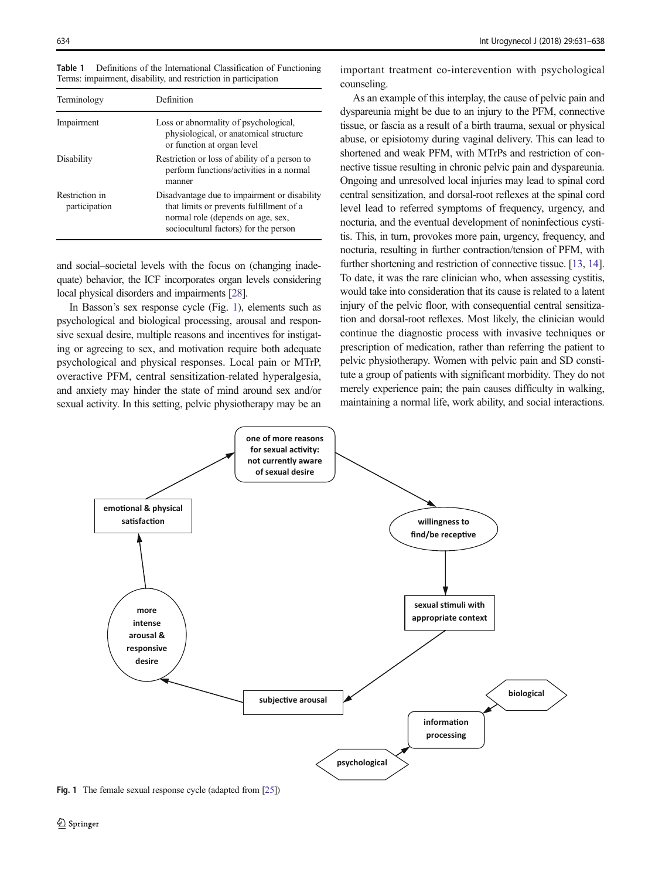| Terminology                     | Definition                                                                                                                                                             |
|---------------------------------|------------------------------------------------------------------------------------------------------------------------------------------------------------------------|
| Impairment                      | Loss or abnormality of psychological,<br>physiological, or anatomical structure<br>or function at organ level                                                          |
| Disability                      | Restriction or loss of ability of a person to<br>perform functions/activities in a normal<br>manner                                                                    |
| Restriction in<br>participation | Disadvantage due to impairment or disability<br>that limits or prevents fulfillment of a<br>normal role (depends on age, sex,<br>sociocultural factors) for the person |

<span id="page-3-0"></span>Table 1 Definitions of the International Classification of Functioning Terms: impairment, disability, and restriction in participation

and social–societal levels with the focus on (changing inadequate) behavior, the ICF incorporates organ levels considering local physical disorders and impairments [[28\]](#page-7-0).

In Basson's sex response cycle (Fig. 1), elements such as psychological and biological processing, arousal and responsive sexual desire, multiple reasons and incentives for instigating or agreeing to sex, and motivation require both adequate psychological and physical responses. Local pain or MTrP, overactive PFM, central sensitization-related hyperalgesia, and anxiety may hinder the state of mind around sex and/or sexual activity. In this setting, pelvic physiotherapy may be an

important treatment co-interevention with psychological counseling.

As an example of this interplay, the cause of pelvic pain and dyspareunia might be due to an injury to the PFM, connective tissue, or fascia as a result of a birth trauma, sexual or physical abuse, or episiotomy during vaginal delivery. This can lead to shortened and weak PFM, with MTrPs and restriction of connective tissue resulting in chronic pelvic pain and dyspareunia. Ongoing and unresolved local injuries may lead to spinal cord central sensitization, and dorsal-root reflexes at the spinal cord level lead to referred symptoms of frequency, urgency, and nocturia, and the eventual development of noninfectious cystitis. This, in turn, provokes more pain, urgency, frequency, and nocturia, resulting in further contraction/tension of PFM, with further shortening and restriction of connective tissue. [[13](#page-6-0), [14\]](#page-6-0). To date, it was the rare clinician who, when assessing cystitis, would take into consideration that its cause is related to a latent injury of the pelvic floor, with consequential central sensitization and dorsal-root reflexes. Most likely, the clinician would continue the diagnostic process with invasive techniques or prescription of medication, rather than referring the patient to pelvic physiotherapy. Women with pelvic pain and SD constitute a group of patients with significant morbidity. They do not merely experience pain; the pain causes difficulty in walking, maintaining a normal life, work ability, and social interactions.



Fig. 1 The female sexual response cycle (adapted from [[25\]](#page-7-0))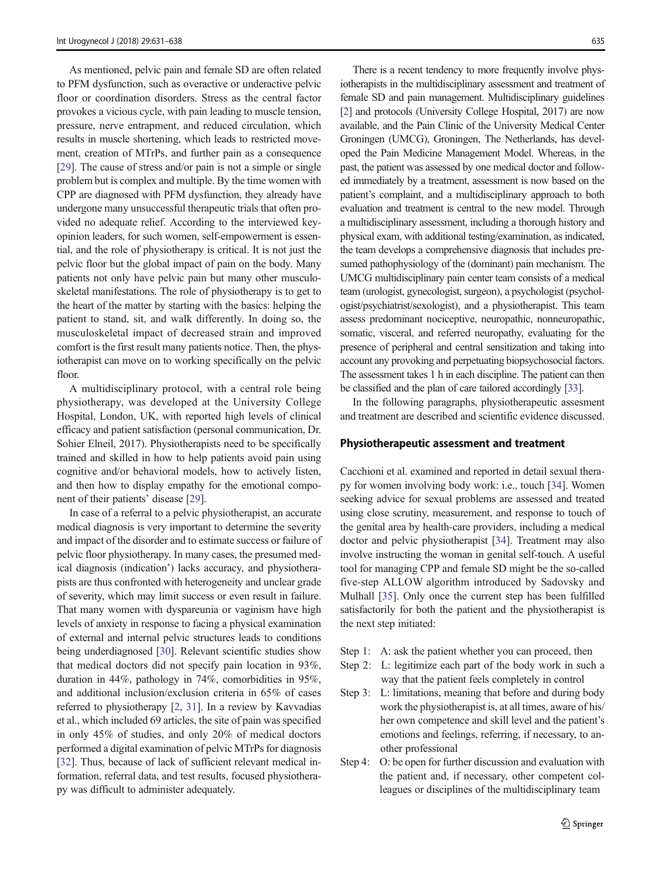As mentioned, pelvic pain and female SD are often related to PFM dysfunction, such as overactive or underactive pelvic floor or coordination disorders. Stress as the central factor provokes a vicious cycle, with pain leading to muscle tension, pressure, nerve entrapment, and reduced circulation, which results in muscle shortening, which leads to restricted movement, creation of MTrPs, and further pain as a consequence [\[29\]](#page-7-0). The cause of stress and/or pain is not a simple or single problem but is complex and multiple. By the time women with CPP are diagnosed with PFM dysfunction, they already have undergone many unsuccessful therapeutic trials that often provided no adequate relief. According to the interviewed keyopinion leaders, for such women, self-empowerment is essential, and the role of physiotherapy is critical. It is not just the pelvic floor but the global impact of pain on the body. Many patients not only have pelvic pain but many other musculoskeletal manifestations. The role of physiotherapy is to get to the heart of the matter by starting with the basics: helping the patient to stand, sit, and walk differently. In doing so, the musculoskeletal impact of decreased strain and improved comfort is the first result many patients notice. Then, the physiotherapist can move on to working specifically on the pelvic floor.

A multidisciplinary protocol, with a central role being physiotherapy, was developed at the University College Hospital, London, UK, with reported high levels of clinical efficacy and patient satisfaction (personal communication, Dr. Sohier Elneil, 2017). Physiotherapists need to be specifically trained and skilled in how to help patients avoid pain using cognitive and/or behavioral models, how to actively listen, and then how to display empathy for the emotional component of their patients' disease [[29](#page-7-0)].

In case of a referral to a pelvic physiotherapist, an accurate medical diagnosis is very important to determine the severity and impact of the disorder and to estimate success or failure of pelvic floor physiotherapy. In many cases, the presumed medical diagnosis (indication') lacks accuracy, and physiotherapists are thus confronted with heterogeneity and unclear grade of severity, which may limit success or even result in failure. That many women with dyspareunia or vaginism have high levels of anxiety in response to facing a physical examination of external and internal pelvic structures leads to conditions being underdiagnosed [[30\]](#page-7-0). Relevant scientific studies show that medical doctors did not specify pain location in 93%, duration in 44%, pathology in 74%, comorbidities in 95%, and additional inclusion/exclusion criteria in 65% of cases referred to physiotherapy [[2,](#page-6-0) [31](#page-7-0)]. In a review by Kavvadias et al., which included 69 articles, the site of pain was specified in only 45% of studies, and only 20% of medical doctors performed a digital examination of pelvic MTrPs for diagnosis [\[32\]](#page-7-0). Thus, because of lack of sufficient relevant medical information, referral data, and test results, focused physiotherapy was difficult to administer adequately.

There is a recent tendency to more frequently involve physiotherapists in the multidisciplinary assessment and treatment of female SD and pain management. Multidisciplinary guidelines [\[2\]](#page-6-0) and protocols (University College Hospital, 2017) are now available, and the Pain Clinic of the University Medical Center Groningen (UMCG), Groningen, The Netherlands, has developed the Pain Medicine Management Model. Whereas, in the past, the patient was assessed by one medical doctor and followed immediately by a treatment, assessment is now based on the patient's complaint, and a multidisciplinary approach to both evaluation and treatment is central to the new model. Through a multidisciplinary assessment, including a thorough history and physical exam, with additional testing/examination, as indicated, the team develops a comprehensive diagnosis that includes presumed pathophysiology of the (dominant) pain mechanism. The UMCG multidisciplinary pain center team consists of a medical team (urologist, gynecologist, surgeon), a psychologist (psychologist/psychiatrist/sexologist), and a physiotherapist. This team assess predominant nociceptive, neuropathic, nonneuropathic, somatic, visceral, and referred neuropathy, evaluating for the presence of peripheral and central sensitization and taking into account any provoking and perpetuating biopsychosocial factors. The assessment takes 1 h in each discipline. The patient can then be classified and the plan of care tailored accordingly [\[33](#page-7-0)].

In the following paragraphs, physiotherapeutic assesment and treatment are described and scientific evidence discussed.

#### Physiotherapeutic assessment and treatment

Cacchioni et al. examined and reported in detail sexual therapy for women involving body work: i.e., touch [[34\]](#page-7-0). Women seeking advice for sexual problems are assessed and treated using close scrutiny, measurement, and response to touch of the genital area by health-care providers, including a medical doctor and pelvic physiotherapist [[34\]](#page-7-0). Treatment may also involve instructing the woman in genital self-touch. A useful tool for managing CPP and female SD might be the so-called five-step ALLOW algorithm introduced by Sadovsky and Mulhall [[35\]](#page-7-0). Only once the current step has been fulfilled satisfactorily for both the patient and the physiotherapist is the next step initiated:

- Step 1: A: ask the patient whether you can proceed, then
- Step 2: L: legitimize each part of the body work in such a way that the patient feels completely in control
- Step 3: L: limitations, meaning that before and during body work the physiotherapist is, at all times, aware of his/ her own competence and skill level and the patient's emotions and feelings, referring, if necessary, to another professional
- Step 4: O: be open for further discussion and evaluation with the patient and, if necessary, other competent colleagues or disciplines of the multidisciplinary team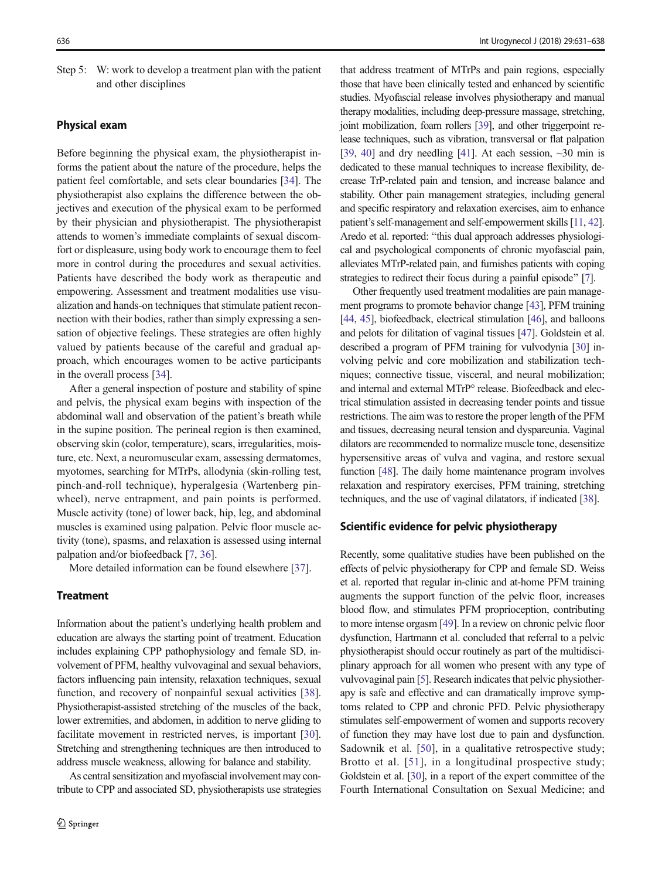Step 5: W: work to develop a treatment plan with the patient and other disciplines

### Physical exam

Before beginning the physical exam, the physiotherapist informs the patient about the nature of the procedure, helps the patient feel comfortable, and sets clear boundaries [\[34](#page-7-0)]. The physiotherapist also explains the difference between the objectives and execution of the physical exam to be performed by their physician and physiotherapist. The physiotherapist attends to women's immediate complaints of sexual discomfort or displeasure, using body work to encourage them to feel more in control during the procedures and sexual activities. Patients have described the body work as therapeutic and empowering. Assessment and treatment modalities use visualization and hands-on techniques that stimulate patient reconnection with their bodies, rather than simply expressing a sensation of objective feelings. These strategies are often highly valued by patients because of the careful and gradual approach, which encourages women to be active participants in the overall process [[34\]](#page-7-0).

After a general inspection of posture and stability of spine and pelvis, the physical exam begins with inspection of the abdominal wall and observation of the patient's breath while in the supine position. The perineal region is then examined, observing skin (color, temperature), scars, irregularities, moisture, etc. Next, a neuromuscular exam, assessing dermatomes, myotomes, searching for MTrPs, allodynia (skin-rolling test, pinch-and-roll technique), hyperalgesia (Wartenberg pinwheel), nerve entrapment, and pain points is performed. Muscle activity (tone) of lower back, hip, leg, and abdominal muscles is examined using palpation. Pelvic floor muscle activity (tone), spasms, and relaxation is assessed using internal palpation and/or biofeedback [\[7,](#page-6-0) [36\]](#page-7-0).

More detailed information can be found elsewhere [\[37\]](#page-7-0).

# **Treatment**

Information about the patient's underlying health problem and education are always the starting point of treatment. Education includes explaining CPP pathophysiology and female SD, involvement of PFM, healthy vulvovaginal and sexual behaviors, factors influencing pain intensity, relaxation techniques, sexual function, and recovery of nonpainful sexual activities [[38](#page-7-0)]. Physiotherapist-assisted stretching of the muscles of the back, lower extremities, and abdomen, in addition to nerve gliding to facilitate movement in restricted nerves, is important [\[30](#page-7-0)]. Stretching and strengthening techniques are then introduced to address muscle weakness, allowing for balance and stability.

As central sensitization and myofascial involvement may contribute to CPP and associated SD, physiotherapists use strategies

that address treatment of MTrPs and pain regions, especially those that have been clinically tested and enhanced by scientific studies. Myofascial release involves physiotherapy and manual therapy modalities, including deep-pressure massage, stretching, joint mobilization, foam rollers [\[39\]](#page-7-0), and other triggerpoint release techniques, such as vibration, transversal or flat palpation [\[39,](#page-7-0) [40](#page-7-0)] and dry needling [\[41](#page-7-0)]. At each session,  $\sim$ 30 min is dedicated to these manual techniques to increase flexibility, decrease TrP-related pain and tension, and increase balance and stability. Other pain management strategies, including general and specific respiratory and relaxation exercises, aim to enhance patient's self-management and self-empowerment skills [\[11](#page-6-0), [42\]](#page-7-0). Aredo et al. reported: "this dual approach addresses physiological and psychological components of chronic myofascial pain, alleviates MTrP-related pain, and furnishes patients with coping strategies to redirect their focus during a painful episode" [\[7\]](#page-6-0).

Other frequently used treatment modalities are pain management programs to promote behavior change [\[43\]](#page-7-0), PFM training [\[44,](#page-7-0) [45\]](#page-7-0), biofeedback, electrical stimulation [[46](#page-7-0)], and balloons and pelots for dilitation of vaginal tissues [\[47](#page-7-0)]. Goldstein et al. described a program of PFM training for vulvodynia [[30](#page-7-0)] involving pelvic and core mobilization and stabilization techniques; connective tissue, visceral, and neural mobilization; and internal and external MTrP° release. Biofeedback and electrical stimulation assisted in decreasing tender points and tissue restrictions. The aim was to restore the proper length of the PFM and tissues, decreasing neural tension and dyspareunia. Vaginal dilators are recommended to normalize muscle tone, desensitize hypersensitive areas of vulva and vagina, and restore sexual function [[48](#page-7-0)]. The daily home maintenance program involves relaxation and respiratory exercises, PFM training, stretching techniques, and the use of vaginal dilatators, if indicated [[38](#page-7-0)].

#### Scientific evidence for pelvic physiotherapy

Recently, some qualitative studies have been published on the effects of pelvic physiotherapy for CPP and female SD. Weiss et al. reported that regular in-clinic and at-home PFM training augments the support function of the pelvic floor, increases blood flow, and stimulates PFM proprioception, contributing to more intense orgasm [\[49\]](#page-7-0). In a review on chronic pelvic floor dysfunction, Hartmann et al. concluded that referral to a pelvic physiotherapist should occur routinely as part of the multidisciplinary approach for all women who present with any type of vulvovaginal pain [\[5\]](#page-6-0). Research indicates that pelvic physiotherapy is safe and effective and can dramatically improve symptoms related to CPP and chronic PFD. Pelvic physiotherapy stimulates self-empowerment of women and supports recovery of function they may have lost due to pain and dysfunction. Sadownik et al. [\[50](#page-7-0)], in a qualitative retrospective study; Brotto et al. [\[51](#page-7-0)], in a longitudinal prospective study; Goldstein et al. [\[30\]](#page-7-0), in a report of the expert committee of the Fourth International Consultation on Sexual Medicine; and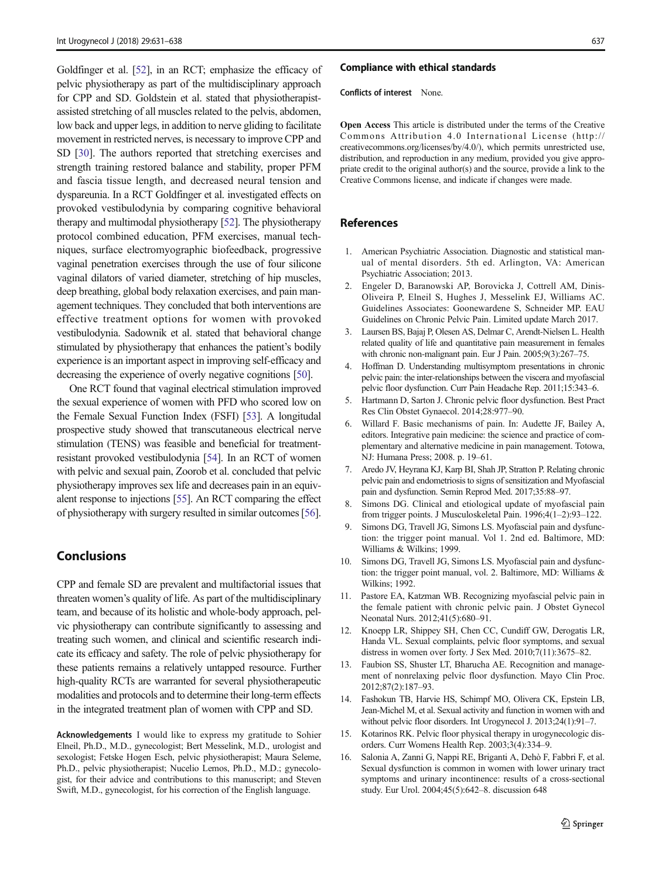<span id="page-6-0"></span>Goldfinger et al. [\[52\]](#page-7-0), in an RCT; emphasize the efficacy of pelvic physiotherapy as part of the multidisciplinary approach for CPP and SD. Goldstein et al. stated that physiotherapistassisted stretching of all muscles related to the pelvis, abdomen, low back and upper legs, in addition to nerve gliding to facilitate movement in restricted nerves, is necessary to improve CPP and SD [\[30](#page-7-0)]. The authors reported that stretching exercises and strength training restored balance and stability, proper PFM and fascia tissue length, and decreased neural tension and dyspareunia. In a RCT Goldfinger et al. investigated effects on provoked vestibulodynia by comparing cognitive behavioral therapy and multimodal physiotherapy [[52](#page-7-0)]. The physiotherapy protocol combined education, PFM exercises, manual techniques, surface electromyographic biofeedback, progressive vaginal penetration exercises through the use of four silicone vaginal dilators of varied diameter, stretching of hip muscles, deep breathing, global body relaxation exercises, and pain management techniques. They concluded that both interventions are effective treatment options for women with provoked vestibulodynia. Sadownik et al. stated that behavioral change stimulated by physiotherapy that enhances the patient's bodily experience is an important aspect in improving self-efficacy and decreasing the experience of overly negative cognitions [\[50](#page-7-0)].

One RCT found that vaginal electrical stimulation improved the sexual experience of women with PFD who scored low on the Female Sexual Function Index (FSFI) [\[53](#page-7-0)]. A longitudal prospective study showed that transcutaneous electrical nerve stimulation (TENS) was feasible and beneficial for treatmentresistant provoked vestibulodynia [\[54\]](#page-7-0). In an RCT of women with pelvic and sexual pain, Zoorob et al. concluded that pelvic physiotherapy improves sex life and decreases pain in an equivalent response to injections [[55](#page-7-0)]. An RCT comparing the effect of physiotherapy with surgery resulted in similar outcomes [\[56\]](#page-7-0).

# Conclusions

CPP and female SD are prevalent and multifactorial issues that threaten women's quality of life. As part of the multidisciplinary team, and because of its holistic and whole-body approach, pelvic physiotherapy can contribute significantly to assessing and treating such women, and clinical and scientific research indicate its efficacy and safety. The role of pelvic physiotherapy for these patients remains a relatively untapped resource. Further high-quality RCTs are warranted for several physiotherapeutic modalities and protocols and to determine their long-term effects in the integrated treatment plan of women with CPP and SD.

Acknowledgements I would like to express my gratitude to Sohier Elneil, Ph.D., M.D., gynecologist; Bert Messelink, M.D., urologist and sexologist; Fetske Hogen Esch, pelvic physiotherapist; Maura Seleme, Ph.D., pelvic physiotherapist; Nucelio Lemos, Ph.D., M.D.; gynecologist, for their advice and contributions to this manuscript; and Steven Swift, M.D., gynecologist, for his correction of the English language.

#### Compliance with ethical standards

Conflicts of interest None.

Open Access This article is distributed under the terms of the Creative Commons Attribution 4.0 International License (http:// creativecommons.org/licenses/by/4.0/), which permits unrestricted use, distribution, and reproduction in any medium, provided you give appropriate credit to the original author(s) and the source, provide a link to the Creative Commons license, and indicate if changes were made.

# References

- 1. American Psychiatric Association. Diagnostic and statistical manual of mental disorders. 5th ed. Arlington, VA: American Psychiatric Association; 2013.
- 2. Engeler D, Baranowski AP, Borovicka J, Cottrell AM, Dinis-Oliveira P, Elneil S, Hughes J, Messelink EJ, Williams AC. Guidelines Associates: Goonewardene S, Schneider MP. EAU Guidelines on Chronic Pelvic Pain. Limited update March 2017.
- 3. Laursen BS, Bajaj P, Olesen AS, Delmar C, Arendt-Nielsen L. Health related quality of life and quantitative pain measurement in females with chronic non-malignant pain. Eur J Pain. 2005;9(3):267–75.
- 4. Hoffman D. Understanding multisymptom presentations in chronic pelvic pain: the inter-relationships between the viscera and myofascial pelvic floor dysfunction. Curr Pain Headache Rep. 2011;15:343–6.
- 5. Hartmann D, Sarton J. Chronic pelvic floor dysfunction. Best Pract Res Clin Obstet Gynaecol. 2014;28:977–90.
- 6. Willard F. Basic mechanisms of pain. In: Audette JF, Bailey A, editors. Integrative pain medicine: the science and practice of complementary and alternative medicine in pain management. Totowa, NJ: Humana Press; 2008. p. 19–61.
- 7. Aredo JV, Heyrana KJ, Karp BI, Shah JP, Stratton P. Relating chronic pelvic pain and endometriosis to signs of sensitization and Myofascial pain and dysfunction. Semin Reprod Med. 2017;35:88–97.
- 8. Simons DG. Clinical and etiological update of myofascial pain from trigger points. J Musculoskeletal Pain. 1996;4(1–2):93–122.
- 9. Simons DG, Travell JG, Simons LS. Myofascial pain and dysfunction: the trigger point manual. Vol 1. 2nd ed. Baltimore, MD: Williams & Wilkins; 1999.
- 10. Simons DG, Travell JG, Simons LS. Myofascial pain and dysfunction: the trigger point manual, vol. 2. Baltimore, MD: Williams & Wilkins; 1992.
- 11. Pastore EA, Katzman WB. Recognizing myofascial pelvic pain in the female patient with chronic pelvic pain. J Obstet Gynecol Neonatal Nurs. 2012;41(5):680–91.
- 12. Knoepp LR, Shippey SH, Chen CC, Cundiff GW, Derogatis LR, Handa VL. Sexual complaints, pelvic floor symptoms, and sexual distress in women over forty. J Sex Med. 2010;7(11):3675–82.
- 13. Faubion SS, Shuster LT, Bharucha AE. Recognition and management of nonrelaxing pelvic floor dysfunction. Mayo Clin Proc. 2012;87(2):187–93.
- 14. Fashokun TB, Harvie HS, Schimpf MO, Olivera CK, Epstein LB, Jean-Michel M, et al. Sexual activity and function in women with and without pelvic floor disorders. Int Urogynecol J. 2013;24(1):91–7.
- 15. Kotarinos RK. Pelvic floor physical therapy in urogynecologic disorders. Curr Womens Health Rep. 2003;3(4):334–9.
- 16. Salonia A, Zanni G, Nappi RE, Briganti A, Dehò F, Fabbri F, et al. Sexual dysfunction is common in women with lower urinary tract symptoms and urinary incontinence: results of a cross-sectional study. Eur Urol. 2004;45(5):642–8. discussion 648